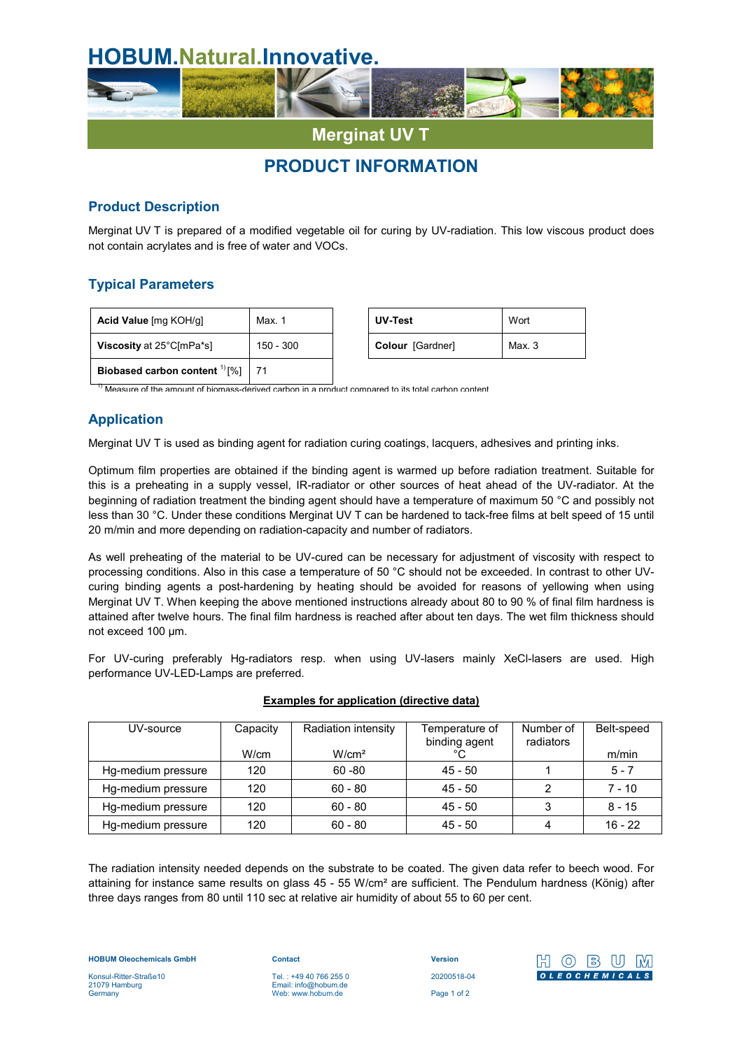

# **PRODUCT INFORMATION**

## **Product Description**

Merginat UV T is prepared of a modified vegetable oil for curing by UV-radiation. This low viscous product does not contain acrylates and is free of water and VOCs.

# **Typical Parameters**

| Acid Value [mg KOH/g]                   | Max. 1      | UV-Test          | Wort   |
|-----------------------------------------|-------------|------------------|--------|
| Viscosity at 25°C[mPa*s]                | $150 - 300$ | Colour [Gardner] | Max. 3 |
| Biobased carbon content $^{11}[%]$   71 |             |                  |        |

| UV-Test          | Wort   |  |
|------------------|--------|--|
| Colour [Gardner] | Max. 3 |  |

Measure of the amount of biomass-derived carbon in a product compared to its total carbon content

# **Application**

Merginat UV T is used as binding agent for radiation curing coatings, lacquers, adhesives and printing inks.

Optimum film properties are obtained if the binding agent is warmed up before radiation treatment. Suitable for this is a preheating in a supply vessel, IR-radiator or other sources of heat ahead of the UV-radiator. At the beginning of radiation treatment the binding agent should have a temperature of maximum 50 °C and possibly not less than 30 °C. Under these conditions Merginat UV T can be hardened to tack-free films at belt speed of 15 until 20 m/min and more depending on radiation-capacity and number of radiators.

As well preheating of the material to be UV-cured can be necessary for adjustment of viscosity with respect to processing conditions. Also in this case a temperature of 50 °C should not be exceeded. In contrast to other UVcuring binding agents a post-hardening by heating should be avoided for reasons of yellowing when using Merginat UV T. When keeping the above mentioned instructions already about 80 to 90 % of final film hardness is attained after twelve hours. The final film hardness is reached after about ten days. The wet film thickness should not exceed 100 µm.

For UV-curing preferably Hg-radiators resp. when using UV-lasers mainly XeCl-lasers are used. High performance UV-LED-Lamps are preferred.

| UV-source          | Capacity | Radiation intensity | Temperature of | Number of | Belt-speed |
|--------------------|----------|---------------------|----------------|-----------|------------|
|                    |          |                     | binding agent  | radiators |            |
|                    | W/cm     | W/cm <sup>2</sup>   | °C             |           | m/min      |
| Hg-medium pressure | 120      | $60 - 80$           | $45 - 50$      |           | $5 - 7$    |
| Hg-medium pressure | 120      | $60 - 80$           | $45 - 50$      |           | $7 - 10$   |
| Hg-medium pressure | 120      | $60 - 80$           | $45 - 50$      |           | $8 - 15$   |
| Hg-medium pressure | 120      | $60 - 80$           | $45 - 50$      |           | $16 - 22$  |

#### **Examples for application (directive data)**

The radiation intensity needed depends on the substrate to be coated. The given data refer to beech wood. For attaining for instance same results on glass 45 - 55 W/cm² are sufficient. The Pendulum hardness (König) after three days ranges from 80 until 110 sec at relative air humidity of about 55 to 60 per cent.

**HOBUM Oleochemicals GmbH**

Konsul-Ritter-Straße10 21079 Hamburg **Germany** 

**Contact** Tel. : +49 40 766 255 0 Email: info@hobum.de Web: www.hobum.de

**Version** 20200518-04 Page 1 of 2